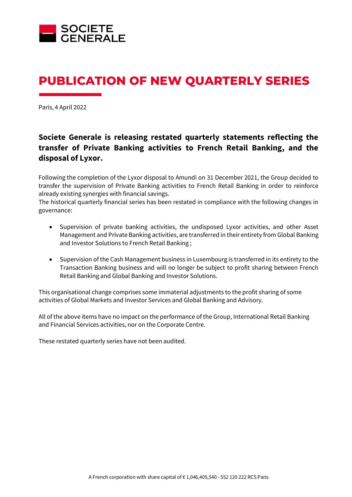

# **PUBLICATION OF NEW QUARTERLY SERIES**

Paris, 4 April 2022

# **Societe Generale is releasing restated quarterly statements reflecting the transfer of Private Banking activities to French Retail Banking, and the disposal of Lyxor.**

Following the completion of the Lyxor disposal to Amundi on 31 December 2021, the Group decided to transfer the supervision of Private Banking activities to French Retail Banking in order to reinforce already existing synergies with financial savings.

The historical quarterly financial series has been restated in compliance with the following changes in governance:

- Supervision of private banking activities, the undisposed Lyxor activities, and other Asset Management and Private Banking activities, are transferred in their entirety from Global Banking and Investor Solutions to French Retail Banking ;
- Supervision of the Cash Management business in Luxembourg is transferred in its entirety to the Transaction Banking business and will no longer be subject to profit sharing between French Retail Banking and Global Banking and Investor Solutions.

This organisational change comprises some immaterial adjustments to the profit sharing of some activities of Global Markets and Investor Services and Global Banking and Advisory.

All of the above items have no impact on the performance of the Group, International Retail Banking and Financial Services activities, nor on the Corporate Centre.

These restated quarterly series have not been audited.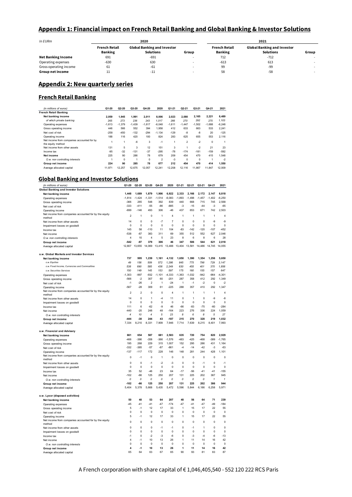#### **Appendix 1: Financial impact on French Retail Banking and Global Banking & Investor Solutions**

| In EURm                   |                                                                         | 2020   |       | 2021                 |                                                        |       |  |  |  |
|---------------------------|-------------------------------------------------------------------------|--------|-------|----------------------|--------------------------------------------------------|-------|--|--|--|
|                           | French Retail<br><b>Global Banking and Investor</b><br><b>Solutions</b> |        |       | <b>French Retail</b> | <b>Global Banking and Investor</b><br><b>Solutions</b> |       |  |  |  |
|                           | <b>Banking</b>                                                          |        | Group | <b>Banking</b>       |                                                        | Group |  |  |  |
| <b>Net Banking Income</b> | 691                                                                     | $-691$ | . .   | 712                  | $-712$                                                 |       |  |  |  |
| Operating expenses        | $-630$                                                                  | 630    |       | $-613$               | 613                                                    |       |  |  |  |
| Gross operating income    | 61                                                                      | -61    |       | 99                   | -99                                                    |       |  |  |  |
| Group net income          |                                                                         | $-11$  |       | 58                   | $-58$                                                  |       |  |  |  |

### **Appendix 2: New quarterly series**

### **French Retail Banking**

| (in millions of euros)                                          | $Q1-20$  | $Q2-20$  | Q3-20    | Q4-20       | 2020           | Q1-21        | Q2-21          | Q3-21    | Q4-21       | 2021     |
|-----------------------------------------------------------------|----------|----------|----------|-------------|----------------|--------------|----------------|----------|-------------|----------|
| <b>French Retail Banking</b>                                    |          |          |          |             |                |              |                |          |             |          |
| Net banking income                                              | 2.059    | 1.945    | 1.991    | 2.011       | 8.006          | 2.023        | 2.080          | 2.165    | 2.221       | 8,489    |
| of which private banking                                        | 265      | 273      | 236      | 243         | 1.017          | 266          | 270            | 292      | 275         | 1.103    |
| Operating expenses                                              | $-1.613$ | $-1.379$ | $-1.439$ | $-1.617$    | $-6.048$       | $-1.611$     | $-1.447$       | $-1.502$ | $-1.688$    | $-6,248$ |
| Gross operating income                                          | 446      | 566      | 552      | 394         | 1.958          | 412          | 633            | 663      | 533         | 2,241    |
| Net cost of risk                                                | $-258$   | $-450$   | $-132$   | $-294$      | $-1.134$       | $-129$       | $-8$           | $-8$     | 20          | $-125$   |
| Operating income                                                | 188      | 116      | 420      | 100         | 824            | 283          | 625            | 655      | 553         | 2.116    |
| Net income from companies accounted for by<br>the equity method |          |          | $-6$     | 3           | $-1$           | 1            | $\overline{2}$ | $-2$     | $\mathbf 0$ |          |
| Net income from other assets                                    | 131      | 5        | 3        | 12          | 151            | 3            |                | $-2$     | 21          | 23       |
| Income tax                                                      | $-95$    | $-32$    | $-131$   | $-37$       | $-295$         | $-78$        | $-174$         | $-181$   | $-159$      | $-592$   |
| Net income                                                      | 225      | 90       | 286      | 78          | 679            | 209          | 454            | 470      | 415         | 1.548    |
| O.w. non controlling interests                                  |          | 0        |          | $\mathbf 0$ | $\mathfrak{p}$ | $\mathbf{3}$ | $\Omega$       | $\Omega$ | ٠           | -2       |
| Group net income                                                | 224      | 90       | 285      | 78          | 677            | 212          | 454            | 470      | 414         | 1,550    |
| Average allocated capital                                       | 11.971   | 12.257   | 12.675   | 12.057      | 12.241         | 12.208       | 12.116         | 11.867   | 11.847      | 12.009   |

### **Global Banking and Investor Solutions**

| (in millions of euros)                                |                | Q2-20          | Q3-20          | Q4-20          | 2020           | Q1-21       | Q2-21        | Q3-21          | Q4-21        | 2021           |
|-------------------------------------------------------|----------------|----------------|----------------|----------------|----------------|-------------|--------------|----------------|--------------|----------------|
| <b>Global Banking and Investor Solutions</b>          |                |                |                |                |                |             |              |                |              |                |
| Net banking income                                    | 1,448          | 1,689          | 1,879          | 1,906          | 6,922          | 2,333       | 2,166        | 2,172          | 2,147        | 8,818          |
| Operating expenses                                    | $-1,814$       | $-1,424$       | $-1,331$       | $-1,514$       | $-6,083$       | $-1,893$    | $-1,498$     | $-1,457$       | $-1,402$     | $-6,250$       |
| Gross operating income                                | $-366$         | 265            | 548            | 392            | 839            | 440         | 668          | 715            | 745          | 2,568          |
| Net cost of risk                                      | $-333$         | $-411$         | $-55$          | $-86$          | $-885$         | $-3$        | $-15$        | $-44$          | $-3$         | $-65$          |
| Operating income                                      | $-699$         | $-146$         | 493            | 306            | $-46$          | 437         | 653          | 671            | 742          | 2,503          |
| Net income from companies accounted for by the equity | 2              | 1              | 0              | 1              | 4              | 1           | 1            | 1              | 1            | 4              |
| method                                                |                |                |                |                |                |             |              |                |              |                |
| Net income from other assets                          | 14             | $\mathbf{0}$   | 0              | $-7$           | $\overline{7}$ | 0           | $\mathbf 0$  | $\mathbf{0}$   | -9           | -9             |
| Impairment losses on goodwill                         | $\Omega$       | $\Omega$       | $\Omega$       | $\mathbf 0$    | $\mathbf 0$    | $\Omega$    | $\Omega$     | $\Omega$       | $\Omega$     | $\mathbf 0$    |
| Income tax                                            | 145            | 58             | $-110$         | 11             | 104            | $-83$       | $-142$       | $-120$         | $-107$       | $-452$         |
| Net income                                            | $-538$         | -87            | 383            | 311            | 69             | 355         | 512          | 552            | 627          | 2.046          |
| O.w. non controlling interests                        | $\overline{4}$ | 10             | $\overline{4}$ | 5              | 23             | 8           | 6            | 8              | 6            | 28             |
| Group net income                                      | $-542$         | -97            | 379            | 306            | 46             | 347         | 506          | 544            | 621          | 2.018          |
| Average allocated capital                             | 12,807         | 13,655         | 14,069         | 13,415         | 13,488         | 13,404      | 13,581       | 14,486         | 14,745       | 14,055         |
|                                                       |                |                |                |                |                |             |              |                |              |                |
| o.w. Global Markets and Investor Services             |                |                |                |                |                |             |              |                |              |                |
| Net banking income                                    | 737            | 995            | 1,239          | 1,161          | 4,132          | 1,650       | 1,390        | 1,354          | 1,256        | 5,650          |
| o.w. Equities                                         | 49             | 156            | 509            | 572            | 1,286          | 845         | 775          | 798            | 729          | 3,147          |
| o.w. Fixed Income, Currencies and Commodities         | 538            | 690            | 585            | 436            | 2,249          | 630         | 455          | 401            | 370          | 1,856          |
| o.w. Securities Services                              | 150            | 149            | 145            | 153            | 597            | 175         | 160          | 155            | 157          | 647            |
| Operating expenses                                    | $-1.303$       | $-997$         | $-932$         | $-1.101$       | $-4,333$       | $-1.363$    | $-1.032$     | $-942$         | $-964$       | $-4.301$       |
| Gross operating income                                | $-566$         | $-2$           | 307            | 60             | $-201$         | 287         | 358          | 412            | 292          | 1,349          |
| Net cost of risk                                      | $-1$           | $-26$          | $\mathfrak{p}$ | 1              | $-24$          | 1           | $-1$         | $-2$           | $\mathbf 0$  | $-2$           |
| Operating income                                      | $-567$         | $-28$          | 309            | 61             | $-225$         | 288         | 357          | 410            | 292          | 1,347          |
| Net income from companies accounted for by the equity | $\overline{2}$ | $\overline{2}$ | $\mathbf 0$    | Ó              | $\overline{4}$ | 1           | 1            | 1              | 1            | $\overline{4}$ |
| method                                                |                |                |                |                |                |             |              |                |              |                |
| Net income from other assets                          | 14             | $\mathbf 0$    | 1              | $\overline{4}$ | 11             | $\mathbf 0$ | $\mathbf{1}$ | $\mathbf 0$    | -9           | $-8$           |
| Impairment losses on goodwill                         | $\mathbf 0$    | $\mathbf 0$    | $\mathbf 0$    | $\mathbf 0$    | $\mathbf 0$    | $\mathbf 0$ | $\mathbf 0$  | 0              | $\bf 0$      | $\pmb{0}$      |
| Income tax                                            | 111            | 6              | $-62$          | -9             | 46             | $-66$       | $-83$        | $-75$          | $-60$        | $-284$         |
| Net income                                            | $-440$         | $-20$          | 248            | 48             | $-164$         | 223         | 276          | 336            | 224          | 1,059          |
| O.w. non controlling interests                        | $\overline{4}$ | 10             | $\overline{4}$ | 5              | 23             | 8           | 6            | 8              | 5            | 27             |
| Group net income                                      | $-444$         | $-30$          | 244            | 43             | $-187$         | 215         | 270          | 328            | 219          | 1,032          |
| Average allocated capital                             | 7,334          | 8,210          | 8,331          | 7,909          | 7,946          | 7,714       | 7,639        | 8,215          | 8,401        | 7,993          |
|                                                       |                |                |                |                |                |             |              |                |              |                |
| o.w. Financial and Advisory                           |                |                |                |                |                |             |              |                |              |                |
| Net banking income                                    | 661            | 654            | 587            | 681            | 2,583          | 635         | 720          | 754            | 820          | 2,929          |
| Operating expenses                                    | $-466$         | $-386$         | $-358$         | $-366$         | $-1,576$       | $-483$      | $-425$       | 468            | $-389$       | $-1,765$       |
| Gross operating income                                | 195            | 268            | 229            | 315            | 1,007          | 152         | 295          | 286            | 431          | 1,164          |
| Net cost of risk                                      | $-332$         | $-385$         | $-57$          | $-87$          | $-861$         | $-4$        | $-14$        | $-42$          | $-3$         | $-63$          |
| Operating income                                      | $-137$         | $-117$         | 172            | 228            | 146            | 148         | 281          | 244            | 428          | 1,101          |
| Net income from companies accounted for by the equity | 0              | $-1$           | 0              | 1              | 0              | 0           | 0            | 0              | $\Omega$     | 0              |
| method                                                |                |                |                |                |                |             |              |                |              |                |
| Net income from other assets                          | 0              | $\Omega$       | $-1$           | $-2$           | $-3$           | $\Omega$    | $\Omega$     | $-1$           | $\Omega$     | $-1$           |
| Impairment losses on goodwill                         | $\mathbf 0$    | $\bf 0$        | $\pmb{0}$      | $\mathbf 0$    | $\mathbf 0$    | $\Omega$    | $\mathbf 0$  | 0              | $\bf 0$      | $\pmb{0}$      |
| Income tax                                            | 35             | 52             | $-46$          | 23             | 64             | $-17$       | $-56$        | $-41$          | $-41$        | $-155$         |
| Net income                                            | $-102$         | $-66$          | 125            | 250            | 207            | 131         | 225          | 202            | 387          | 945            |
| O.w. non controlling interests                        | $\Omega$       | $\theta$       | $\Omega$       | $\theta$       | $\Omega$       | $\theta$    | 0            | 0              | $\mathbf{1}$ | $\mathbf{1}$   |
| Group net income                                      | $-102$         | -66            | 125            | 250            | 207            | 131         | 225          | 202            | 386          | 944            |
| Average allocated capital                             | 5.404          | 5,378          | 5,668          | 5,435          | 5.472          | 5,596       | 5.844        | 6.186          | 6.258        | 5,971          |
|                                                       |                |                |                |                |                |             |              |                |              |                |
| o.w. Lyxor (disposed activities)                      |                |                |                |                |                |             |              |                |              |                |
| Net banking income                                    | 50             | 40             | 53             | 64             | 207            | 48          | 56           | 64             | 71           | 239            |
| Operating expenses                                    | $-45$          | $-41$          | $-41$          | $-47$          | $-174$         | 47          | $-41$        | $-47$          | $-49$        | $-184$         |
| Gross operating income                                | 5              | $-1$           | 12             | 17             | 33             | 1           | 15           | 17             | 22           | 55             |
| Net cost of risk                                      | $\mathbf 0$    | $\mathbf 0$    | $\mathbf 0$    | $\mathbf 0$    | $\mathbf 0$    | 0           | $\mathbf 0$  | 0              | $\mathbf 0$  | $\pmb{0}$      |
| Operating income                                      | 5              | $-1$           | 12             | 17             | 33             | 1           | 15           | 17             | 22           | 55             |
| Net income from companies accounted for by the equity | 0              | 0              | 0              | 0              | 0              | 0           | $\Omega$     | 0              | 0            | 0              |
| method                                                |                |                |                |                |                |             |              |                |              |                |
| Net income from other assets                          | $\mathbf{0}$   | $\mathbf 0$    | 0              | $-1$           | $-1$           | $\mathbf 0$ | $-1$         | 1              | $\mathbf 0$  | $\pmb{0}$      |
| Impairment losses on goodwill                         | $\overline{0}$ | $\mathbf 0$    | $\mathbf 0$    | $\mathbf 0$    | $\mathbf 0$    | $\mathbf 0$ | $\mathbf 0$  | $\mathbf 0$    | $\mathbf 0$  | $\mathbf 0$    |
| Income tax                                            | $-1$           | $\mathbf{0}$   | $-2$           | $-3$           | $-6$           | 0           | $-3$         | $\overline{4}$ | $-6$         | $-13$          |
| Net income                                            | 4              | $-1$           | 10             | 13             | 26             | 1           | 11           | 14             | 16           | 42             |
| O.w. non controlling interests                        | 0              | 0              | 0              | 0              | 0              | 0           | 0            | 0              | 0            | 0              |
| Group net income                                      | 4              | $-1$           | 10             | 13             | 26             | 1           | 11           | 14             | 16           | 42             |
| Average allocated capital                             | 65             | 64             | 63             | 67             | 65             | 90          | 93           | 81             | 83           | 87             |
|                                                       |                |                |                |                |                |             |              |                |              |                |